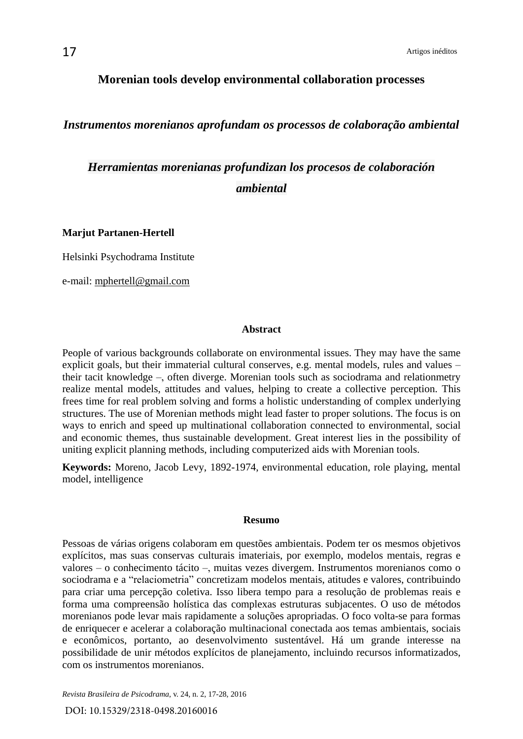## **Morenian tools develop environmental collaboration processes**

*Instrumentos morenianos aprofundam os processos de colaboração ambiental*

*Herramientas morenianas profundizan los procesos de colaboración ambiental*

**Marjut Partanen-Hertell** 

Helsinki Psychodrama Institute

e-mail: [mphertell@gmail.com](mailto:mphertell@gmail.com)

#### **Abstract**

People of various backgrounds collaborate on environmental issues. They may have the same explicit goals, but their immaterial cultural conserves, e.g. mental models, rules and values – their tacit knowledge –, often diverge. Morenian tools such as sociodrama and relationmetry realize mental models, attitudes and values, helping to create a collective perception. This frees time for real problem solving and forms a holistic understanding of complex underlying structures. The use of Morenian methods might lead faster to proper solutions. The focus is on ways to enrich and speed up multinational collaboration connected to environmental, social and economic themes, thus sustainable development. Great interest lies in the possibility of uniting explicit planning methods, including computerized aids with Morenian tools.

**Keywords:** Moreno, Jacob Levy, 1892-1974, environmental education, role playing, mental model, intelligence

#### **Resumo**

Pessoas de várias origens colaboram em questões ambientais. Podem ter os mesmos objetivos explícitos, mas suas conservas culturais imateriais, por exemplo, modelos mentais, regras e valores – o conhecimento tácito –, muitas vezes divergem. Instrumentos morenianos como o sociodrama e a "relaciometria" concretizam modelos mentais, atitudes e valores, contribuindo para criar uma percepção coletiva. Isso libera tempo para a resolução de problemas reais e forma uma compreensão holística das complexas estruturas subjacentes. O uso de métodos morenianos pode levar mais rapidamente a soluções apropriadas. O foco volta-se para formas de enriquecer e acelerar a colaboração multinacional conectada aos temas ambientais, sociais e econômicos, portanto, ao desenvolvimento sustentável. Há um grande interesse na possibilidade de unir métodos explícitos de planejamento, incluindo recursos informatizados, com os instrumentos morenianos.

*Revista Brasileira de Psicodrama*, v. 24, n. 2, 17-28, 2016

DOI: 10.15329/2318-0498.20160016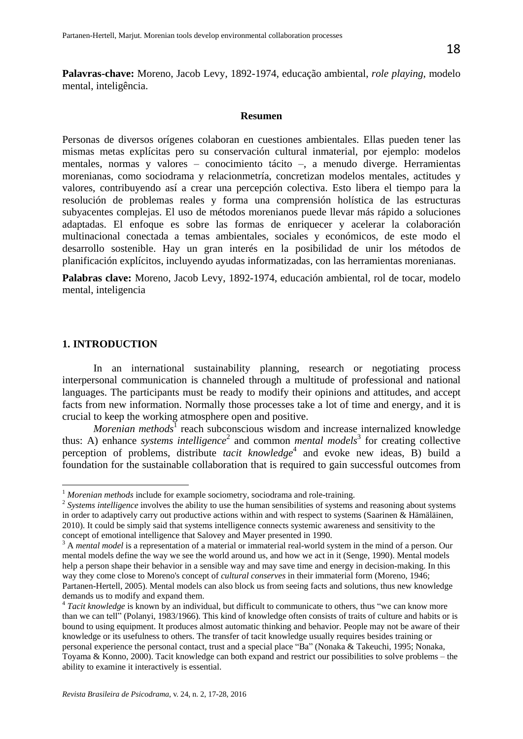**Palavras-chave:** Moreno, Jacob Levy, 1892-1974, educação ambiental, *role playing*, modelo mental, inteligência.

#### **Resumen**

Personas de diversos orígenes colaboran en cuestiones ambientales. Ellas pueden tener las mismas metas explícitas pero su conservación cultural inmaterial, por ejemplo: modelos mentales, normas y valores – conocimiento tácito –, a menudo diverge. Herramientas morenianas, como sociodrama y relacionmetría, concretizan modelos mentales, actitudes y valores, contribuyendo así a crear una percepción colectiva. Esto libera el tiempo para la resolución de problemas reales y forma una comprensión holística de las estructuras subyacentes complejas. El uso de métodos morenianos puede llevar más rápido a soluciones adaptadas. El enfoque es sobre las formas de enriquecer y acelerar la colaboración multinacional conectada a temas ambientales, sociales y económicos, de este modo el desarrollo sostenible. Hay un gran interés en la posibilidad de unir los métodos de planificación explícitos, incluyendo ayudas informatizadas, con las herramientas morenianas.

**Palabras clave:** Moreno, Jacob Levy, 1892-1974, educación ambiental, rol de tocar, modelo mental, inteligencia

### **1. INTRODUCTION**

In an international sustainability planning, research or negotiating process interpersonal communication is channeled through a multitude of professional and national languages. The participants must be ready to modify their opinions and attitudes, and accept facts from new information. Normally those processes take a lot of time and energy, and it is crucial to keep the working atmosphere open and positive.

*Morenian methods*<sup>1</sup> reach subconscious wisdom and increase internalized knowledge thus: A) enhance *systems intelligence*<sup>2</sup> and common *mental models*<sup>3</sup> for creating collective perception of problems, distribute *tacit knowledge*<sup>4</sup> and evoke new ideas, B) build a foundation for the sustainable collaboration that is required to gain successful outcomes from

<sup>&</sup>lt;sup>1</sup> Morenian methods include for example sociometry, sociodrama and role-training.

<sup>&</sup>lt;sup>2</sup> Systems intelligence involves the ability to use the human sensibilities of systems and reasoning about systems in order to adaptively carry out productive actions within and with respect to systems (Saarinen & Hämäläinen, 2010). It could be simply said that systems intelligence connects systemic awareness and sensitivity to the concept of emotional intelligence that Salovey and Mayer presented in 1990.

<sup>&</sup>lt;sup>3</sup> A *mental model* is a representation of a material or immaterial real-world system in the mind of a person. Our mental models define the way we see the world around us, and how we act in it (Senge, 1990). Mental models help a person shape their behavior in a sensible way and may save time and energy in decision-making. In this way they come close to Moreno's concept of *cultural conserves* in their immaterial form (Moreno, 1946; Partanen-Hertell, 2005). Mental models can also block us from seeing facts and solutions, thus new knowledge demands us to modify and expand them.

<sup>&</sup>lt;sup>4</sup> Tacit knowledge is known by an individual, but difficult to communicate to others, thus "we can know more than we can tell" (Polanyi, 1983/1966). This kind of knowledge often consists of traits of culture and habits or is bound to using equipment. It produces almost automatic thinking and behavior. People may not be aware of their knowledge or its usefulness to others. The transfer of tacit knowledge usually requires besides training or personal experience the personal contact, trust and a special place "Ba" (Nonaka & Takeuchi, 1995; Nonaka, Toyama & Konno, 2000). Tacit knowledge can both expand and restrict our possibilities to solve problems – the ability to examine it interactively is essential.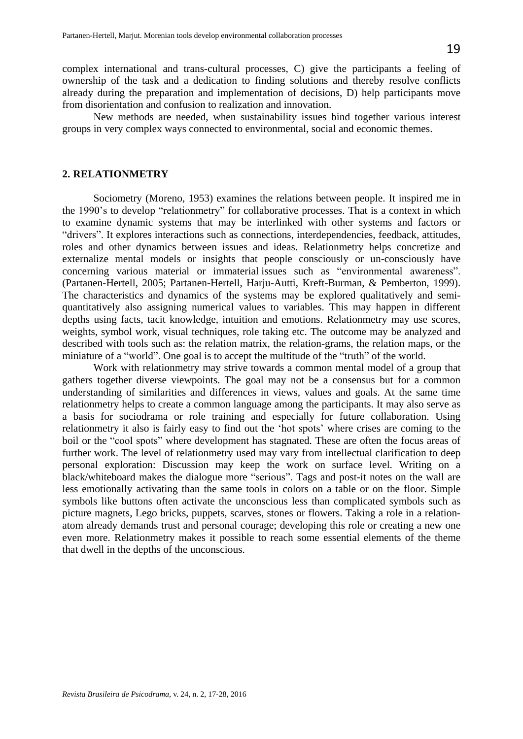New methods are needed, when sustainability issues bind together various interest groups in very complex ways connected to environmental, social and economic themes.

## **2. RELATIONMETRY**

Sociometry (Moreno, 1953) examines the relations between people. It inspired me in the 1990"s to develop "relationmetry" for collaborative processes. That is a context in which to examine dynamic systems that may be interlinked with other systems and factors or "drivers". It explores interactions such as connections, interdependencies, feedback, attitudes, roles and other dynamics between issues and ideas. Relationmetry helps concretize and externalize mental models or insights that people consciously or un-consciously have concerning various material or immaterial issues such as "environmental awareness". (Partanen-Hertell, 2005; Partanen-Hertell, Harju-Autti, Kreft-Burman, & Pemberton, 1999). The characteristics and dynamics of the systems may be explored qualitatively and semiquantitatively also assigning numerical values to variables. This may happen in different depths using facts, tacit knowledge, intuition and emotions. Relationmetry may use scores, weights, symbol work, visual techniques, role taking etc. The outcome may be analyzed and described with tools such as: the relation matrix, the relation-grams, the relation maps, or the miniature of a "world". One goal is to accept the multitude of the "truth" of the world.

Work with relationmetry may strive towards a common mental model of a group that gathers together diverse viewpoints. The goal may not be a consensus but for a common understanding of similarities and differences in views, values and goals. At the same time relationmetry helps to create a common language among the participants. It may also serve as a basis for sociodrama or role training and especially for future collaboration. Using relationmetry it also is fairly easy to find out the "hot spots" where crises are coming to the boil or the "cool spots" where development has stagnated. These are often the focus areas of further work. The level of relationmetry used may vary from intellectual clarification to deep personal exploration: Discussion may keep the work on surface level. Writing on a black/whiteboard makes the dialogue more "serious". Tags and post-it notes on the wall are less emotionally activating than the same tools in colors on a table or on the floor. Simple symbols like buttons often activate the unconscious less than complicated symbols such as picture magnets, Lego bricks, puppets, scarves, stones or flowers. Taking a role in a relationatom already demands trust and personal courage; developing this role or creating a new one even more. Relationmetry makes it possible to reach some essential elements of the theme that dwell in the depths of the unconscious.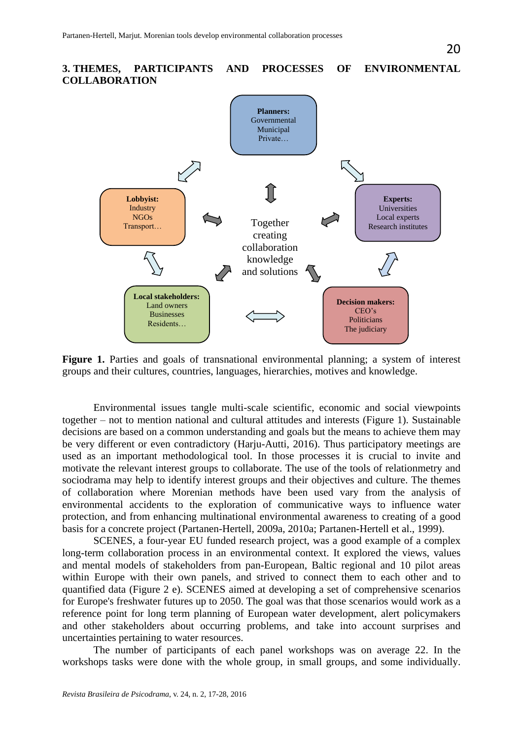

Figure 1. Parties and goals of transnational environmental planning; a system of interest groups and their cultures, countries, languages, hierarchies, motives and knowledge.

Environmental issues tangle multi-scale scientific, economic and social viewpoints together – not to mention national and cultural attitudes and interests (Figure 1). Sustainable decisions are based on a common understanding and goals but the means to achieve them may be very different or even contradictory (Harju-Autti, 2016). Thus participatory meetings are used as an important methodological tool. In those processes it is crucial to invite and motivate the relevant interest groups to collaborate. The use of the tools of relationmetry and sociodrama may help to identify interest groups and their objectives and culture. The themes of collaboration where Morenian methods have been used vary from the analysis of environmental accidents to the exploration of communicative ways to influence water protection, and from enhancing multinational environmental awareness to creating of a good basis for a concrete project (Partanen-Hertell, 2009a, 2010a; Partanen-Hertell et al., 1999).

SCENES, a four-year EU funded research project, was a good example of a complex long-term collaboration process in an environmental context. It explored the views, values and mental models of stakeholders from pan-European, Baltic regional and 10 pilot areas within Europe with their own panels, and strived to connect them to each other and to quantified data (Figure 2 e). SCENES aimed at developing a set of comprehensive scenarios for Europe's freshwater futures up to 2050. The goal was that those scenarios would work as a reference point for long term planning of European water development, alert policymakers and other stakeholders about occurring problems, and take into account surprises and uncertainties pertaining to water resources.

The number of participants of each panel workshops was on average 22. In the workshops tasks were done with the whole group, in small groups, and some individually.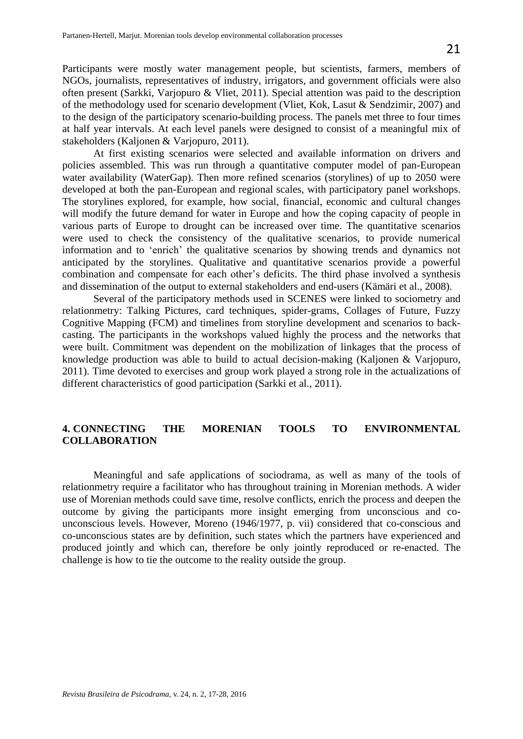Participants were mostly water management people, but scientists, farmers, members of NGOs, journalists, representatives of industry, irrigators, and government officials were also often present (Sarkki, Varjopuro & Vliet, 2011). Special attention was paid to the description of the methodology used for scenario development (Vliet, Kok, Lasut & Sendzimir, 2007) and to the design of the participatory scenario-building process. The panels met three to four times at half year intervals. At each level panels were designed to consist of a meaningful mix of stakeholders (Kaljonen & Varjopuro, 2011).

At first existing scenarios were selected and available information on drivers and policies assembled. This was run through a quantitative computer model of pan-European water availability (WaterGap). Then more refined scenarios (storylines) of up to 2050 were developed at both the pan-European and regional scales, with participatory panel workshops. The storylines explored, for example, how social, financial, economic and cultural changes will modify the future demand for water in Europe and how the coping capacity of people in various parts of Europe to drought can be increased over time. The quantitative scenarios were used to check the consistency of the qualitative scenarios, to provide numerical information and to "enrich" the qualitative scenarios by showing trends and dynamics not anticipated by the storylines. Qualitative and quantitative scenarios provide a powerful combination and compensate for each other"s deficits. The third phase involved a synthesis and dissemination of the output to external stakeholders and end-users (Kämäri et al., 2008).

Several of the participatory methods used in SCENES were linked to sociometry and relationmetry: Talking Pictures, card techniques, spider-grams, Collages of Future, Fuzzy Cognitive Mapping (FCM) and timelines from storyline development and scenarios to backcasting. The participants in the workshops valued highly the process and the networks that were built. Commitment was dependent on the mobilization of linkages that the process of knowledge production was able to build to actual decision-making (Kaljonen & Varjopuro, 2011). Time devoted to exercises and group work played a strong role in the actualizations of different characteristics of good participation (Sarkki et al., 2011).

## **4. CONNECTING THE MORENIAN TOOLS TO ENVIRONMENTAL COLLABORATION**

Meaningful and safe applications of sociodrama, as well as many of the tools of relationmetry require a facilitator who has throughout training in Morenian methods. A wider use of Morenian methods could save time, resolve conflicts, enrich the process and deepen the outcome by giving the participants more insight emerging from unconscious and counconscious levels. However, Moreno (1946/1977, p. vii) considered that co-conscious and co-unconscious states are by definition, such states which the partners have experienced and produced jointly and which can, therefore be only jointly reproduced or re-enacted. The challenge is how to tie the outcome to the reality outside the group.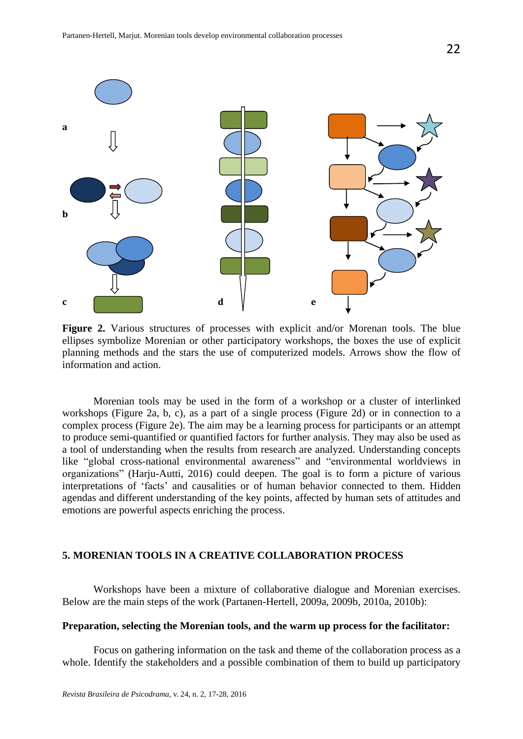

**Figure 2.** Various structures of processes with explicit and/or Morenan tools. The blue ellipses symbolize Morenian or other participatory workshops, the boxes the use of explicit planning methods and the stars the use of computerized models. Arrows show the flow of information and action.

Morenian tools may be used in the form of a workshop or a cluster of interlinked workshops (Figure 2a, b, c), as a part of a single process (Figure 2d) or in connection to a complex process (Figure 2e). The aim may be a learning process for participants or an attempt to produce semi-quantified or quantified factors for further analysis. They may also be used as a tool of understanding when the results from research are analyzed. Understanding concepts like "global cross-national environmental awareness" and "environmental worldviews in organizations" (Harju-Autti, 2016) could deepen. The goal is to form a picture of various interpretations of "facts" and causalities or of human behavior connected to them. Hidden agendas and different understanding of the key points, affected by human sets of attitudes and emotions are powerful aspects enriching the process.

## **5. MORENIAN TOOLS IN A CREATIVE COLLABORATION PROCESS**

Workshops have been a mixture of collaborative dialogue and Morenian exercises. Below are the main steps of the work (Partanen-Hertell, 2009a, 2009b, 2010a, 2010b):

### **Preparation, selecting the Morenian tools, and the warm up process for the facilitator:**

Focus on gathering information on the task and theme of the collaboration process as a whole. Identify the stakeholders and a possible combination of them to build up participatory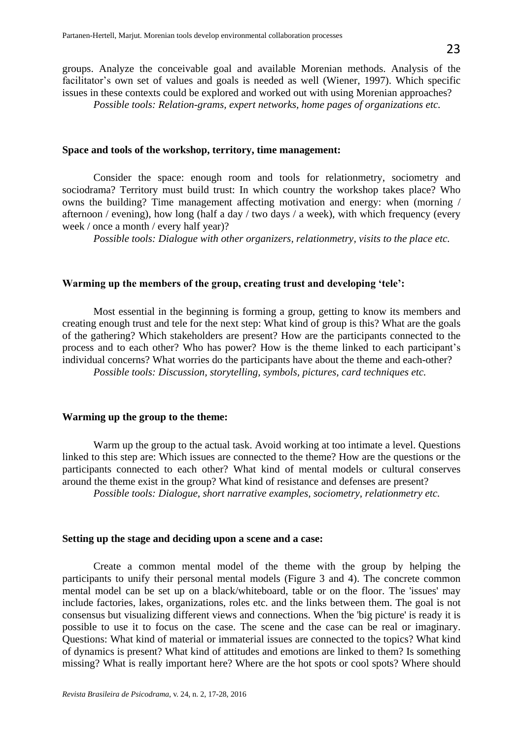*Possible tools: Relation-grams, expert networks, home pages of organizations etc.* 

### **Space and tools of the workshop, territory, time management:**

Consider the space: enough room and tools for relationmetry, sociometry and sociodrama? Territory must build trust: In which country the workshop takes place? Who owns the building? Time management affecting motivation and energy: when (morning / afternoon / evening), how long (half a day / two days / a week), with which frequency (every week / once a month / every half year)?

*Possible tools: Dialogue with other organizers, relationmetry, visits to the place etc.*

### **Warming up the members of the group, creating trust and developing "tele":**

Most essential in the beginning is forming a group, getting to know its members and creating enough trust and tele for the next step: What kind of group is this? What are the goals of the gathering? Which stakeholders are present? How are the participants connected to the process and to each other? Who has power? How is the theme linked to each participant"s individual concerns? What worries do the participants have about the theme and each-other? *Possible tools: Discussion, storytelling, symbols, pictures, card techniques etc.* 

#### **Warming up the group to the theme:**

Warm up the group to the actual task. Avoid working at too intimate a level. Questions linked to this step are: Which issues are connected to the theme? How are the questions or the participants connected to each other? What kind of mental models or cultural conserves around the theme exist in the group? What kind of resistance and defenses are present? *Possible tools: Dialogue, short narrative examples, sociometry, relationmetry etc.* 

### **Setting up the stage and deciding upon a scene and a case:**

Create a common mental model of the theme with the group by helping the participants to unify their personal mental models (Figure 3 and 4). The concrete common mental model can be set up on a black/whiteboard, table or on the floor. The 'issues' may include factories, lakes, organizations, roles etc. and the links between them. The goal is not consensus but visualizing different views and connections. When the 'big picture' is ready it is possible to use it to focus on the case. The scene and the case can be real or imaginary. Questions: What kind of material or immaterial issues are connected to the topics? What kind of dynamics is present? What kind of attitudes and emotions are linked to them? Is something missing? What is really important here? Where are the hot spots or cool spots? Where should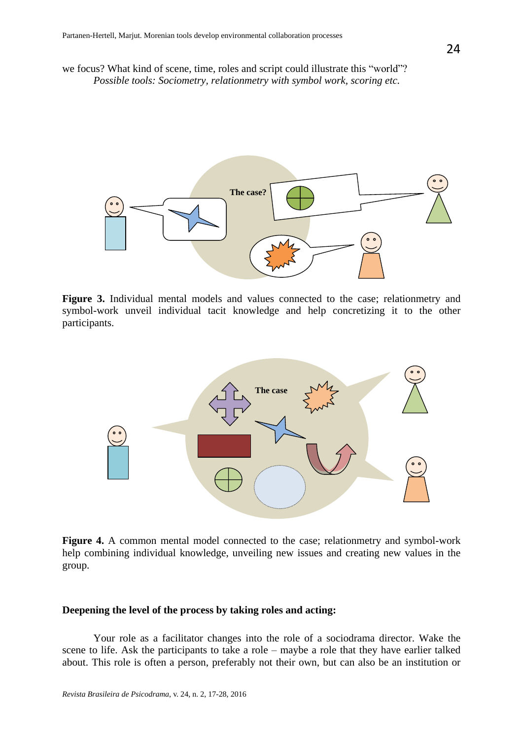we focus? What kind of scene, time, roles and script could illustrate this "world"? *Possible tools: Sociometry, relationmetry with symbol work, scoring etc.* 



Figure 3. Individual mental models and values connected to the case; relationmetry and symbol-work unveil individual tacit knowledge and help concretizing it to the other participants.



Figure 4. A common mental model connected to the case; relationmetry and symbol-work help combining individual knowledge, unveiling new issues and creating new values in the group.

## **Deepening the level of the process by taking roles and acting:**

Your role as a facilitator changes into the role of a sociodrama director. Wake the scene to life. Ask the participants to take a role – maybe a role that they have earlier talked about. This role is often a person, preferably not their own, but can also be an institution or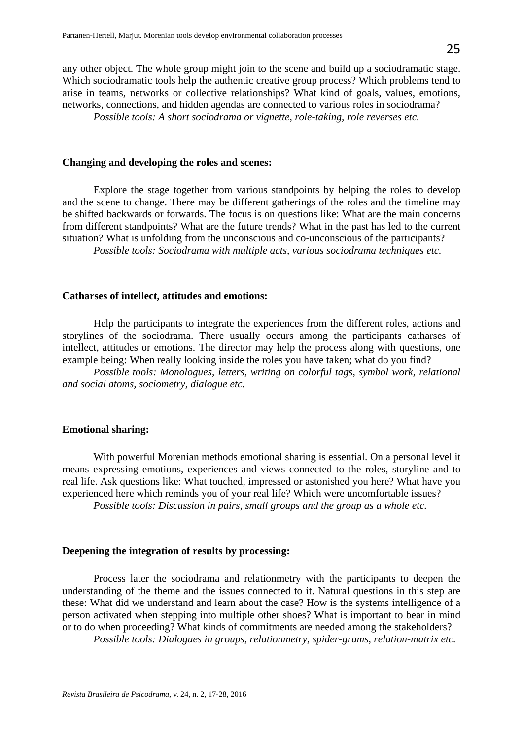any other object. The whole group might join to the scene and build up a sociodramatic stage. Which sociodramatic tools help the authentic creative group process? Which problems tend to arise in teams, networks or collective relationships? What kind of goals, values, emotions, networks, connections, and hidden agendas are connected to various roles in sociodrama?

*Possible tools: A short sociodrama or vignette, role-taking, role reverses etc.* 

#### **Changing and developing the roles and scenes:**

Explore the stage together from various standpoints by helping the roles to develop and the scene to change. There may be different gatherings of the roles and the timeline may be shifted backwards or forwards. The focus is on questions like: What are the main concerns from different standpoints? What are the future trends? What in the past has led to the current situation? What is unfolding from the unconscious and co-unconscious of the participants? *Possible tools: Sociodrama with multiple acts, various sociodrama techniques etc.* 

### **Catharses of intellect, attitudes and emotions:**

Help the participants to integrate the experiences from the different roles, actions and storylines of the sociodrama. There usually occurs among the participants catharses of intellect, attitudes or emotions. The director may help the process along with questions, one example being: When really looking inside the roles you have taken; what do you find?

*Possible tools: Monologues, letters, writing on colorful tags, symbol work, relational and social atoms, sociometry, dialogue etc.* 

### **Emotional sharing:**

With powerful Morenian methods emotional sharing is essential. On a personal level it means expressing emotions, experiences and views connected to the roles, storyline and to real life. Ask questions like: What touched, impressed or astonished you here? What have you experienced here which reminds you of your real life? Which were uncomfortable issues? *Possible tools: Discussion in pairs, small groups and the group as a whole etc.* 

### **Deepening the integration of results by processing:**

Process later the sociodrama and relationmetry with the participants to deepen the understanding of the theme and the issues connected to it. Natural questions in this step are these: What did we understand and learn about the case? How is the systems intelligence of a person activated when stepping into multiple other shoes? What is important to bear in mind or to do when proceeding? What kinds of commitments are needed among the stakeholders?

*Possible tools: Dialogues in groups, relationmetry, spider-grams, relation-matrix etc.*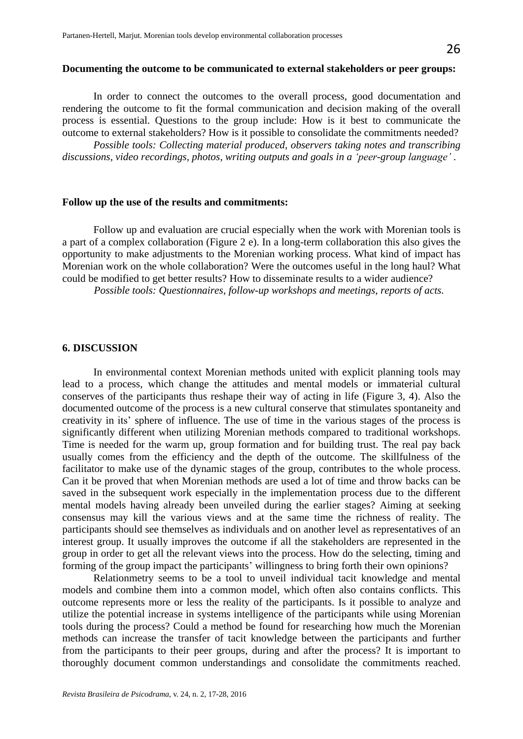#### **Documenting the outcome to be communicated to external stakeholders or peer groups:**

In order to connect the outcomes to the overall process, good documentation and rendering the outcome to fit the formal communication and decision making of the overall process is essential. Questions to the group include: How is it best to communicate the outcome to external stakeholders? How is it possible to consolidate the commitments needed?

*Possible tools: Collecting material produced, observers taking notes and transcribing discussions, video recordings, photos, writing outputs and goals in a 'peer-group language' .* 

#### **Follow up the use of the results and commitments:**

Follow up and evaluation are crucial especially when the work with Morenian tools is a part of a complex collaboration (Figure 2 e). In a long-term collaboration this also gives the opportunity to make adjustments to the Morenian working process. What kind of impact has Morenian work on the whole collaboration? Were the outcomes useful in the long haul? What could be modified to get better results? How to disseminate results to a wider audience?

*Possible tools: Questionnaires, follow-up workshops and meetings, reports of acts.* 

#### **6. DISCUSSION**

In environmental context Morenian methods united with explicit planning tools may lead to a process, which change the attitudes and mental models or immaterial cultural conserves of the participants thus reshape their way of acting in life (Figure 3, 4). Also the documented outcome of the process is a new cultural conserve that stimulates spontaneity and creativity in its' sphere of influence. The use of time in the various stages of the process is significantly different when utilizing Morenian methods compared to traditional workshops. Time is needed for the warm up, group formation and for building trust. The real pay back usually comes from the efficiency and the depth of the outcome. The skillfulness of the facilitator to make use of the dynamic stages of the group, contributes to the whole process. Can it be proved that when Morenian methods are used a lot of time and throw backs can be saved in the subsequent work especially in the implementation process due to the different mental models having already been unveiled during the earlier stages? Aiming at seeking consensus may kill the various views and at the same time the richness of reality. The participants should see themselves as individuals and on another level as representatives of an interest group. It usually improves the outcome if all the stakeholders are represented in the group in order to get all the relevant views into the process. How do the selecting, timing and forming of the group impact the participants' willingness to bring forth their own opinions?

Relationmetry seems to be a tool to unveil individual tacit knowledge and mental models and combine them into a common model, which often also contains conflicts. This outcome represents more or less the reality of the participants. Is it possible to analyze and utilize the potential increase in systems intelligence of the participants while using Morenian tools during the process? Could a method be found for researching how much the Morenian methods can increase the transfer of tacit knowledge between the participants and further from the participants to their peer groups, during and after the process? It is important to thoroughly document common understandings and consolidate the commitments reached.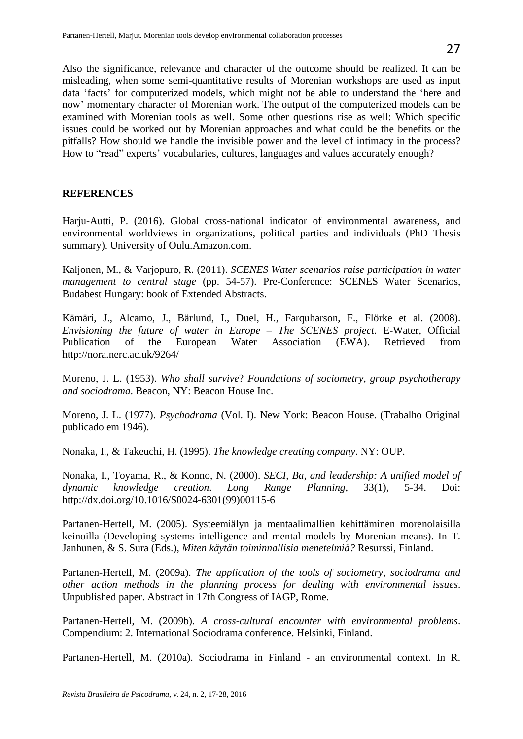Also the significance, relevance and character of the outcome should be realized. It can be misleading, when some semi-quantitative results of Morenian workshops are used as input data "facts" for computerized models, which might not be able to understand the "here and now" momentary character of Morenian work. The output of the computerized models can be examined with Morenian tools as well. Some other questions rise as well: Which specific issues could be worked out by Morenian approaches and what could be the benefits or the pitfalls? How should we handle the invisible power and the level of intimacy in the process? How to "read" experts' vocabularies, cultures, languages and values accurately enough?

# **REFERENCES**

Harju-Autti, P. (2016). Global cross-national indicator of environmental awareness, and environmental worldviews in organizations, political parties and individuals (PhD Thesis summary). University of Oulu.Amazon.com.

Kaljonen, M., & Varjopuro, R. (2011). *SCENES Water scenarios raise participation in water management to central stage* (pp. 54-57). Pre-Conference: SCENES Water Scenarios, Budabest Hungary: book of Extended Abstracts.

Kämäri, J., Alcamo, J., Bärlund, I., Duel, H., Farquharson, F., Flörke et al. (2008). *Envisioning the future of water in Europe – The SCENES project*. E-Water, Official Publication of the European Water Association (EWA). Retrieved from <http://nora.nerc.ac.uk/9264/>

Moreno, J. L. (1953). *Who shall survive*? *Foundations of sociometry, group psychotherapy and sociodrama*. Beacon, NY: Beacon House Inc.

Moreno, J. L. (1977). *Psychodrama* (Vol. I). New York: Beacon House. (Trabalho Original publicado em 1946).

Nonaka, I., & Takeuchi, H. (1995). *The knowledge creating company*. NY: OUP.

Nonaka, I., Toyama, R., & Konno, N. (2000). *SECI, Ba, and leadership: A unified model of dynamic knowledge creation*. *Long Range Planning*, 33(1), 5-34. Doi: [http://dx.doi.org/10.1016/S0024-6301\(99\)00115-6](http://dx.doi.org/10.1016/S0024-6301(99)00115-6)

Partanen-Hertell, M. (2005). Systeemiälyn ja mentaalimallien kehittäminen morenolaisilla keinoilla (Developing systems intelligence and mental models by Morenian means). In T. Janhunen, & S. Sura (Eds.), *Miten käytän toiminnallisia menetelmiä?* Resurssi, Finland.

Partanen-Hertell, M. (2009a). *The application of the tools of sociometry, sociodrama and other action methods in the planning process for dealing with environmental issues*. Unpublished paper. Abstract in 17th Congress of IAGP, Rome.

Partanen-Hertell, M. (2009b). *A cross-cultural encounter with environmental problems*. Compendium: 2. International Sociodrama conference. Helsinki, Finland.

Partanen-Hertell, M. (2010a). Sociodrama in Finland - an environmental context. In R.